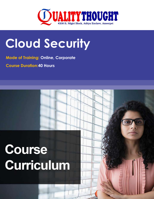

## **Cloud Security**

**Mode of Training: Online, Corporate** 

**Course Duration:40 Hours**

# Course **Curriculum**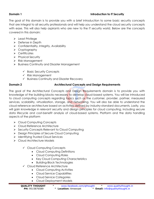## **Domain 1 Introduction to IT Security**

The goal of this domain is to provide you with a brief introduction to some basic security concepts that are integral to all security professionals and will help you understand the cloud security concepts with ease. This will also help aspirants who are new to the IT security world. Below are the concepts covered in this domain:

- > Least Privilege
- > Defense in Depth
- $\triangleright$  Confidentiality, Integrity, Availability
- > Cryptography
- $\triangleright$  Certificates
- $\triangleright$  Physical Security
- $\triangleright$  Risk Management
- ▶ Business Continuity and Disaster Management
	- $\checkmark$  Basic Security Concepts
	- $\checkmark$  Risk Management
	- $\checkmark$  Business Continuity and Disaster Recovery

## **Domain 2 Architectural Concepts and Design Requirements**

The goal of the Architectural Concepts and Design Requirements domain is to provide you with knowledge of the building blocks necessary to develop cloud-based systems. You will be introduced to cloud computing concepts regarding topics such as the customer, provider, partner, measured services, scalability, virtualization, storage, and networking. You will also be able to understand the cloud reference architecture based on activities defined by industry-standard documents. Lastly, you will gain knowledge in relevant security and design principles for cloud computing, including secure data lifecycle and cost-benefit analysis of cloud-based systems. Platform and the data handling aspects of the platform

- Cloud Computing Concepts
- ▶ Cloud Reference Architecture
- $\triangleright$  Security Concepts Relevant to Cloud Computing
- ▶ Design Principles of Secure Cloud Computing
- $\triangleright$  Identifying Trusted Cloud Services
- Cloud Architecture Models
	- Cloud Computing Concepts
		- Cloud Computing Definitions
		- Cloud Computing Roles
		- Key Cloud Computing Characteristics
		- Building-Block Technologies
	- Cloud Reference Architecture
		- Cloud Computing Activities
		- Cloud Service Capabilities
		- Cloud Service Categories
		- Cloud Deployment Models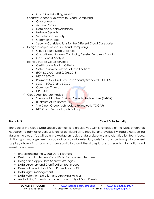- Cloud Cross-Cutting Aspects
- $\checkmark$  Security Concepts Relevant to Cloud Computing
	- Cryptography
	- Access Control
	- Data and Media Sanitation
	- Network Security
	- Virtualization Security
	- Common Threats
	- Security Considerations for the Different Cloud Categories
- Design Principles of Secure Cloud Computing
	- Cloud Secure Data Lifecycle
	- Cloud-Based Business Continuity/Disaster Recovery Planning
	- Cost–Benefit Analysis
- $\checkmark$  Identify Trusted Cloud Services
	- Certification Against Criteria
	- System/Subsystem Product Certifications
	- ISO/IEC 27001 and 27001:2013
	- $\bullet$  NIST SP 800-53
	- Payment Card Industry Data Security Standard (PCI DSS)
	- $\bullet$  SOC 1, SOC 2, and SOC 3
	- Common Criteria
	- $\bullet$  FIPS 140-2
- Cloud Architecture Models
	- Sherwood Applied Business Security Architecture (SABSA)
	- **•** IT Infrastructure Library (ITIL)
	- The Open Group Architecture Framework (TOGAF)
	- NIST Cloud Technology Roadmap

## **Domain 3 Cloud Data Security**

The goal of the Cloud Data Security domain is to provide you with knowledge of the types of controls necessary to administer various levels of confidentiality, integrity, and availability, regarding securing data in the cloud. You will gain knowledge on topics of data discovery and classification techniques; digital rights management; privacy of data; data retention, deletion, and archiving; data event logging, chain of custody and non-repudiation; and the strategic use of security information and event management.

- ▶ Understanding the Cloud Data Lifecycle
- ▶ Design and Implement Cloud Data Storage Architectures
- ▶ Design and Apply Data Security Strategies
- ▶ Data Discovery and Classification Techniques
- Relevant Jurisdictional Data Protections for PII
- $\triangleright$  Data Rights Management
- ▶ Data Retention, Deletion and Archiving Policies
- $\triangleright$  Auditability, Traceability and Accountability of Data Events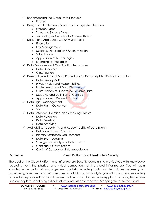- $\checkmark$  Understanding the Cloud Data Lifecycle
	- Phases
- Design and Implement Cloud Data Storage Architectures
	- Storage Types
	- Threats to Storage Types
	- Technologies Available to Address Threats
- $\checkmark$  Design and Apply Data Security Strategies
	- Encryption
	- Key Management
	- Masking/Obfuscation / Anonymization
	- Tokenization
	- Application of Technologies
	- Emerging Technologies
- $\checkmark$  Data Discovery and Classification Techniques
	- Data Discovery
	- Classification
- $\checkmark$  Relevant Jurisdictional Data Protections for Personally Identifiable Information
	- Data Privacy Acts
	- Privacy Roles and Responsibilities
	- Implementation of Data Discovery
	- Classification of Discovered Sensitive Data
	- Mapping and Definition of Controls
	- Application of Defined Controls
- $\checkmark$  Data Rights Management
	- Data Rights Objectives
	- Tools
- $\checkmark$  Data Retention, Deletion, and Archiving Policies
	- Data Retention
	- Data Deletion
	- Data Archivina
- $\checkmark$  Auditability, Traceability, and Accountability of Data Events
	- Definition of Event Sources
	- Identity Attribution Requirements
	- Data Event Logging
	- Storage and Analysis of Data Events
	- Continuous Optimizations
	- Chain of Custody and Nonrepudiation

## **Domain 4 Cloud Platform and Infrastructure Security**

The goal of the Cloud Platform and Infrastructure Security domain is to provide you with knowledge regarding both the physical and virtual components of the cloud infrastructure. You will gain knowledge regarding risk-management analysis, including tools and techniques necessary for maintaining a secure cloud infrastructure. In addition to risk analysis, you will gain an understanding of how to prepare and maintain business continuity and disaster recovery plans, including techniques and concepts for identifying critical systems and lost data recovery. Stepping stones to the cloud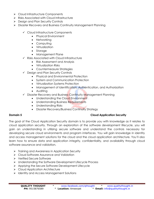- ▶ Cloud Infrastructure Components
- **▶ Risks Associated with Cloud Infrastructure**
- ▶ Design and Plan Security Controls
- Disaster Recovery and Business Continuity Management Planning
	- Cloud Infrastructure Components
		- Physical Environment
		- Networking
		- Computing
		- Virtualization
		- Storage
		- Management Plane
	- $\checkmark$  Risks Associated with Cloud Infrastructure
		- Risk Assessment and Analysis
		- Virtualization Risks
		- Countermeasure Strategies
	- $\checkmark$  Design and Plan Security Controls
		- Physical and Environmental Protection
		- System and Communication Protection
		- Virtualization Systems Protection
		- Management of Identification, Authentication, and Authorization
		- Auditing
	- $\checkmark$  Disaster Recovery and Business Continuity Management Planning
		- Understanding the Cloud Environment
		- Understanding Business Requirements
		- Understanding Risks
		- Disaster Recovery/Business Continuity Strategy

## **Domain 5 Cloud Application Security**

The goal of the Cloud Application Security domain is to provide you with knowledge as it relates to cloud application security. Through an exploration of the software development lifecycle, you will gain an understanding in utilizing secure software and understand the controls necessary for developing secure cloud environments and program interfaces. You will gain knowledge in identity and access management solutions for the cloud and the cloud application architecture. You'll also learn how to ensure data and application integrity, confidentiality, and availability through cloud software assurance and validation.

- $\triangleright$  Training and Awareness in Application Security
- ▶ Cloud Software Assurance and Validation
- Verified Secure Software
- Understanding the Software Development Lifecycle Process
- Applying the Secure Software Development Lifecycle
- ▶ Cloud Application Architecture
- **Identity and Access Management Solutions**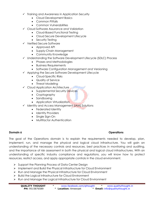- $\checkmark$  Training and Awareness in Application Security
	- Cloud Development Basics
	- Common Pitfalls
	- Common Vulnerabilities
- Cloud Software Assurance and Validation
	- Cloud-Based Functional Testing
	- Cloud Secure Development Lifecycle
	- Security Testing
- $\checkmark$  Verified Secure Software
	- Approved API
	- Supply-Chain Management
	- Community Knowledge
- Understanding the Software Development Lifecycle (SDLC) Process
	- Phases and Methodologies
	- Business Requirements
	- Software Configuration Management and Versioning
- $\checkmark$  Applying the Secure Software Development Lifecycle
	- Cloud-Specific Risks
	- Quality of Service
	- Threat Modeling
- $\checkmark$  Cloud Application Architecture
	- Supplemental Security Devices
	- Cryptography
	- Sandboxing
	- Application Virtualization
- $\checkmark$  Identity and Access Management (IAM) Solutions
	- Federated Identity
	- Identity Providers
	- Single Sign-On
	- Multifactor Authentication

## **Domain 6 Domain 6 Operations**

The goal of the Operations domain is to explain the requirements needed to develop, plan, implement, run, and manage the physical and logical cloud infrastructure. You will gain an understanding of the necessary controls and resources, best practices in monitoring and auditing, and the importance of risk assessment in both the physical and logical cloud infrastructures. With an understanding of specific industry compliance and regulations, you will know how to protect resources, restrict access, and apply appropriate controls in the cloud environment.

- $\triangleright$  Support the Planning Process of Data Center Design
- $\triangleright$  Implement and Build the Physical Infrastructure for Cloud Environment
- Run and Manage the Physical Infrastructure for Cloud Environment
- ▶ Build the Logical Infrastructure for Cloud Environment
- Run and Manage the Logical Infrastructure for Cloud Environment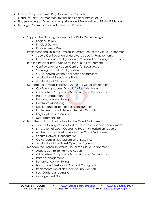- $\triangleright$  Ensure Compliance with Regulations and Controls
- Conduct Risk Assessment for Physical and Logical Infrastructure
- Understanding of Collection, Acquisition, and Preservation of Digital Evidence
- ▶ Manage Communication with Relevant Parties
	- $\checkmark$  Support the Planning Process for the Data Center Design
		- Logical Design
		- Physical Design
		- Environmental Design
	- $\checkmark$  Implement and Build the Physical Infrastructure for the Cloud Environment
		- Secure Configuration of Hardware-Specific Requirements
		- Installation and Configuration of Virtualization Management Tools
	- $\checkmark$  Run the Physical Infrastructure for the Cloud Environment
		- Configuration of Access Control for Local Access
		- Securing Network Configuration
		- OS Hardening via the Application of Baselines
		- Availability of Standalone Hosts
		- Availability of Clustered Hosts
	- $\checkmark$  Manage the Physical Infrastructure for the Cloud Environment
		- Configuring Access Controls for Remote Access
		- OS Baseline Compliance Monitoring and Remediation
		- Patch Management
		- Performance Monitoring
		- Hardware Monitoring
		- Backup and Restore of Host Configuration
		- Implementation of Network Security Controls
		- Log Capture and Analysis
		- Management Plan
	- $\checkmark$  Build the Logical Infrastructure for the Cloud Environment
		- Secure Configuration of Virtual Hardware–Specific Requirements
		- Installation of Guest Operating System Virtualization Toolsets
		- un the Logical Infrastructure for the Cloud Environment
		- Secure Network Configuration
		- OS Hardening via Application of Baselines
		- Availability of the Guest Operating System
	- $\checkmark$  Manage the Logical Infrastructure for the Cloud Environment
		- Access Control for Remote Access
		- OS Baseline Compliance Monitoring and Remediation
		- Patch Management
		- Performance Monitoring
		- Backup and Restore of Guest OS Configuration
		- Implementation of Network Security Controls
		- Log Capture and Analysis
		- Management Plan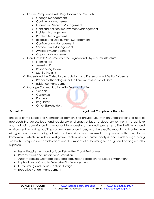- $\checkmark$  Ensure Compliance with Regulations and Controls
	- Change Management
	- Continuity Management
	- Information Security Management
	- Continual Service Improvement Management
	- Incident Management
	- Problem Management
	- Release and Deployment Management
	- Configuration Management
	- Service Level Management
	- Availability Management
	- Capacity Management
- Conduct Risk Assessment for the Logical and Physical Infrastructure
	- Framing Risk
	- Assessing Risk
	- Responding to Risk
	- Monitoring Risk
- $\checkmark$  Understand the Collection, Acquisition, and Preservation of Digital Evidence
	- Proper Methodologies for the Forensic Collection of Data
	- Evidence Management
- $\checkmark$  Manage Communication with Relevant Parties
	- Vendors
	- Customers
	- Partners
	- Regulators
	- Other Stakeholders

## **Domain 7 Legal and Compliance Domain**

The goal of the Legal and Compliance domain is to provide you with an understanding of how to approach the various legal and regulatory challenges unique to cloud environments. To achieve and maintain compliance it is important to understand the audit processes utilized within a cloud environment, including auditing controls, assurance issues, and the specific reporting attributes. You will gain an understanding of ethical behaviour and required compliance within regulatory frameworks, which includes investigative techniques for crime analysis and evidence-gathering methods. Enterprise risk considerations and the impact of outsourcing for design and hosting are also explored.

- ▶ Legal Requirements and Unique Risks within Cloud Environment
- $\triangleright$  Privacy Issues and Jurisdictional Variation
- Audit Processes, Methodologies and Required Adaptations for Cloud Environment
- **Implications of Cloud to Enterprise Risk Management**
- ▶ Outsourcing and Cloud Contract Design
- Executive Vendor Management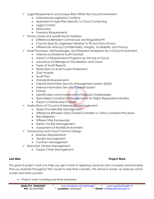- $\checkmark$  Legal Requirements and Unique Risks Within the Cloud Environment
	- International Legislation Conflicts
	- Appraisal of Legal Risks Specific to Cloud Computing
	- Legal Controls
	- eDiscovery
	- Forensics Requirements
- $\checkmark$  Privacy Issues and Jurisdictional Variation
	- Difference Between Contractual and Regulated PII
	- Country-Specific Legislation Related to PII and Data Privacy
	- Differences Among Confidentiality, Integrity, Availability, and Privacy
- $\checkmark$  Audit Processes, Methodologies, and Required Adaptions for a Cloud Environment
	- Internal and External Audit Controls
	- Impact of Requirements Programs by the Use of Cloud
	- Assurance Challenges of Virtualization and Cloud
	- Types of Audit Reports
	- Restrictions of Audit Scope Statements
	- Gap Analysis
	- Audit Plan
	- Standards Requirements
	- Internal Information Security Management System (ISMS)
	- Internal Information Security Controls System
	- Policies
	- Identification and Involvement of Relevant Stakeholders
	- Specialized Compliance Requirements for Highly Regulated Industries
	- Impact of Distributed IT Model
- $\checkmark$  Implications of Cloud to Enterprise Risk Management
	- Assess Providers Risk Management
	- Difference Between Data Owner/Controller vs. Data Custodian/Processor
	- Risk Mitigation
	- Different Risk Frameworks
	- Metrics for Risk Management
	- Assessment of the Risk Environment
- Outsourcing and Cloud Contract Design
	- Business Requirements
	- Vendor Management
	- Contract Management
- Executive Vendor Management
	- Supply-Chain Management

### **Last Mile: Project Work**

The goal of project work is to help you get a hold of applying cloud security concepts and principles that you learned throughout this course to real-time scenario. This will be a hands- on exercise which covers real-time scenario.

 $\triangleright$  Project work covering real-time scenarios

| <b>QUALITY THOUGHT</b> | www.facebook.com/gthought | www.qualitythought.in                  |
|------------------------|---------------------------|----------------------------------------|
| <b>PH:</b> 9515876589  | * Location: Ameerpet      | * <b>Email:</b> info@qualitythought.in |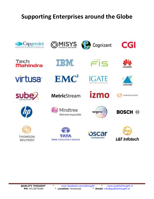## **Supporting Enterprises around the Globe**